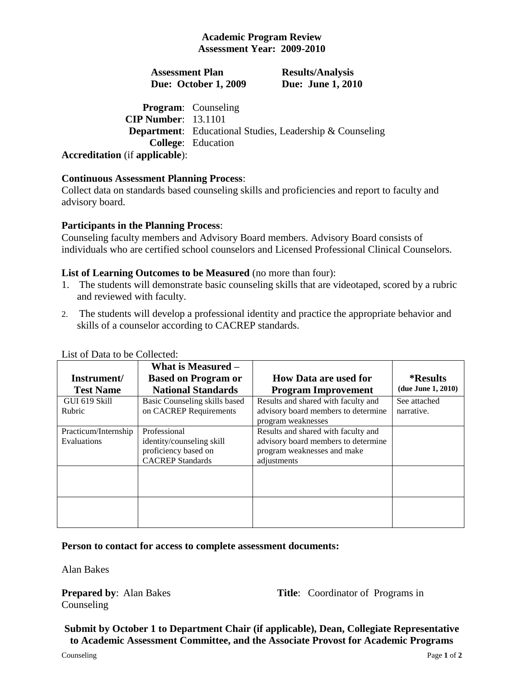# **Academic Program Review Assessment Year: 2009-2010**

**Assessment Plan Due: October 1, 2009** **Results/Analysis Due: June 1, 2010**

#### **Program**: Counseling **CIP Number**: 13.1101 **Department**: Educational Studies, Leadership & Counseling **College**: Education **Accreditation** (if **applicable**):

# **Continuous Assessment Planning Process**:

Collect data on standards based counseling skills and proficiencies and report to faculty and advisory board.

#### **Participants in the Planning Process**:

Counseling faculty members and Advisory Board members. Advisory Board consists of individuals who are certified school counselors and Licensed Professional Clinical Counselors.

# **List of Learning Outcomes to be Measured** (no more than four):

- 1. The students will demonstrate basic counseling skills that are videotaped, scored by a rubric and reviewed with faculty.
- 2. The students will develop a professional identity and practice the appropriate behavior and skills of a counselor according to CACREP standards.

|                      | What is Measured -                                |                                                                    |                        |
|----------------------|---------------------------------------------------|--------------------------------------------------------------------|------------------------|
| Instrument/          | <b>Based on Program or</b>                        | <b>How Data are used for</b>                                       | <i><b>*Results</b></i> |
| <b>Test Name</b>     | <b>National Standards</b>                         | <b>Program Improvement</b>                                         | (due June 1, 2010)     |
| GUI 619 Skill        | Basic Counseling skills based                     | Results and shared with faculty and                                | See attached           |
| Rubric               | on CACREP Requirements                            | advisory board members to determine<br>program weaknesses          | narrative.             |
| Practicum/Internship | Professional                                      | Results and shared with faculty and                                |                        |
| Evaluations          | identity/counseling skill<br>proficiency based on | advisory board members to determine<br>program weaknesses and make |                        |
|                      | <b>CACREP</b> Standards                           | adjustments                                                        |                        |
|                      |                                                   |                                                                    |                        |
|                      |                                                   |                                                                    |                        |

List of Data to be Collected:

#### **Person to contact for access to complete assessment documents:**

Alan Bakes

Counseling

**Prepared by:** Alan Bakes **Title:** Coordinator of Programs in

**Submit by October 1 to Department Chair (if applicable), Dean, Collegiate Representative to Academic Assessment Committee, and the Associate Provost for Academic Programs**